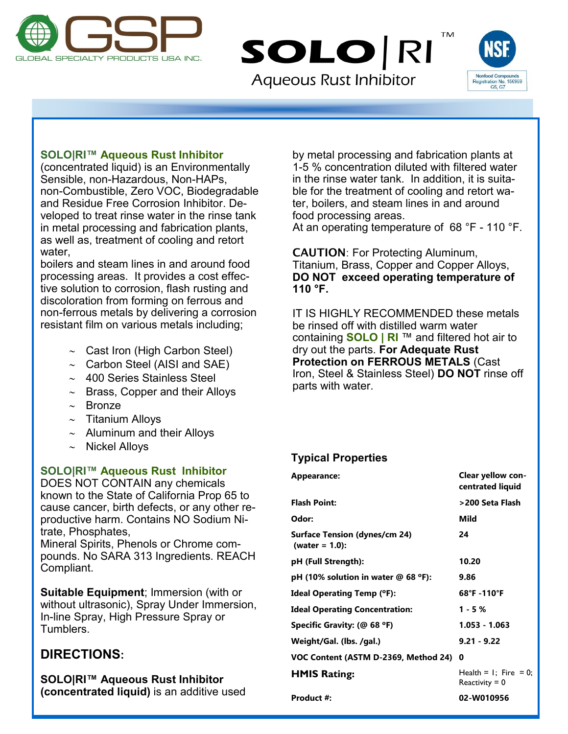

**Aqueous Rust Inhibitor** 

SOLO RI



**TM** 

**Appearance: Clear yellow con-**

# **SOLO|RI™ Aqueous Rust Inhibitor**

(concentrated liquid) is an Environmentally Sensible, non-Hazardous, Non-HAPs, non-Combustible, Zero VOC, Biodegradable and Residue Free Corrosion Inhibitor. Developed to treat rinse water in the rinse tank in metal processing and fabrication plants, as well as, treatment of cooling and retort water,

boilers and steam lines in and around food processing areas. It provides a cost effective solution to corrosion, flash rusting and discoloration from forming on ferrous and non-ferrous metals by delivering a corrosion resistant film on various metals including;

- $\sim$  Cast Iron (High Carbon Steel)
- $\sim$  Carbon Steel (AISI and SAE)
- $\sim$  400 Series Stainless Steel
- $\sim$  Brass, Copper and their Alloys
- $\sim$  Bronze
- $\sim$  Titanium Alloys
- $\sim$  Aluminum and their Alloys
- $\sim$  Nickel Alloys

#### **SOLO|RI™ Aqueous Rust Inhibitor**

DOES NOT CONTAIN any chemicals known to the State of California Prop 65 to cause cancer, birth defects, or any other reproductive harm. Contains NO Sodium Nitrate, Phosphates,

Mineral Spirits, Phenols or Chrome compounds. No SARA 313 Ingredients. REACH Compliant.

**Suitable Equipment**; Immersion (with or without ultrasonic), Spray Under Immersion, In-line Spray, High Pressure Spray or Tumblers.

# **DIRECTIONS:**

**SOLO|RI™ Aqueous Rust Inhibitor (concentrated liquid)** is an additive used

by metal processing and fabrication plants at 1-5 % concentration diluted with filtered water in the rinse water tank. In addition, it is suitable for the treatment of cooling and retort water, boilers, and steam lines in and around food processing areas.

At an operating temperature of 68 °F - 110 °F.

CAUTION: For Protecting Aluminum, Titanium, Brass, Copper and Copper Alloys, **DO NOT exceed operating temperature of 110 °F.**

IT IS HIGHLY RECOMMENDED these metals be rinsed off with distilled warm water containing **SOLO | RI** ™ and filtered hot air to dry out the parts. **For Adequate Rust Protection on FERROUS METALS** (Cast Iron, Steel & Stainless Steel) **DO NOT** rinse off parts with water.

# **Typical Properties**

| Appearance.                                               | CICAI YEIIUW CUII-<br>centrated liquid                |
|-----------------------------------------------------------|-------------------------------------------------------|
| <b>Flash Point:</b>                                       | >200 Seta Flash                                       |
| Odor:                                                     | Mild                                                  |
| <b>Surface Tension (dynes/cm 24)</b><br>(water = $1.0$ ): | 24                                                    |
| pH (Full Strength):                                       | 10.20                                                 |
| pH (10% solution in water @ 68 $\degree$ F):              | 9.86                                                  |
| <b>Ideal Operating Temp (°F):</b>                         | 68°F-110°F                                            |
| <b>Ideal Operating Concentration:</b>                     | $1 - 5%$                                              |
| Specific Gravity: (@ 68 °F)                               | $1.053 - 1.063$                                       |
| Weight/Gal. (lbs. /gal.)                                  | $9.21 - 9.22$                                         |
| VOC Content (ASTM D-2369, Method 24) 0                    |                                                       |
| <b>HMIS Rating:</b>                                       | Health = $\mathsf{l}$ ; Fire = 0;<br>Reactivity $= 0$ |
| Product #:                                                | 02-W010956                                            |
|                                                           |                                                       |